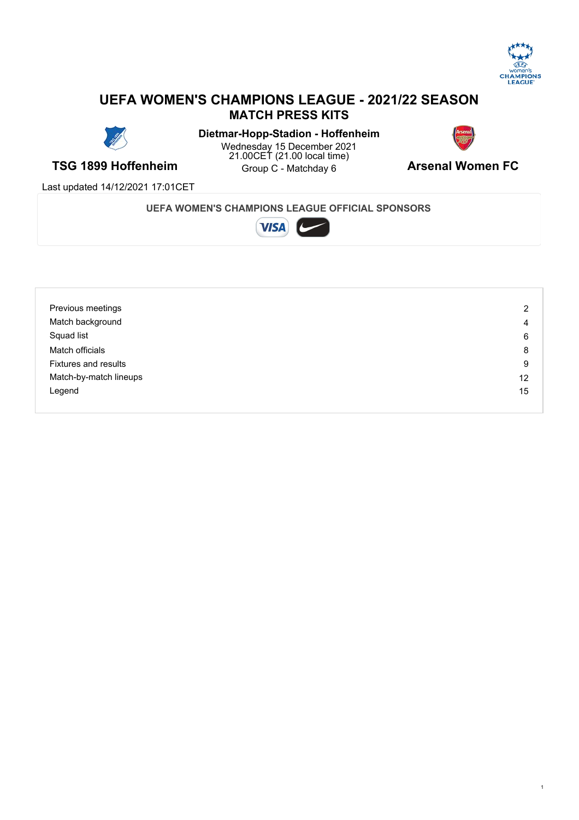

## **UEFA WOMEN'S CHAMPIONS LEAGUE - 2021/22 SEASON MATCH PRESS KITS**



**TSG 1899 Hoffenheim Construct Christians** Construction **Arsenal Women FC Dietmar-Hopp-Stadion - Hoffenheim** Wednesday 15 December 2021 21.00CET (21.00 local time) Group C - Matchday 6



Last updated 14/12/2021 17:01CET

#### **UEFA WOMEN'S CHAMPIONS LEAGUE OFFICIAL SPONSORS**



| Previous meetings           | $\overline{2}$ |
|-----------------------------|----------------|
| Match background            | 4              |
| Squad list                  | 6              |
| Match officials             | 8              |
| <b>Fixtures and results</b> | 9              |
| Match-by-match lineups      | 12             |
| Legend                      | 15             |
|                             |                |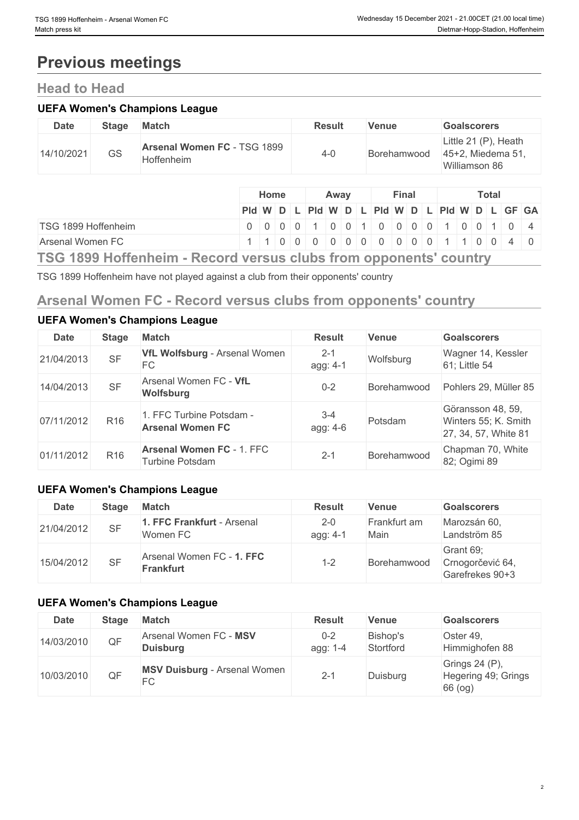# **Previous meetings**

## **Head to Head**

#### **UEFA Women's Champions League**

| <b>Date</b> | <b>Stage</b> | <b>Match</b>                              | <b>Result</b> | Venue       | <b>Goalscorers</b>                                         |
|-------------|--------------|-------------------------------------------|---------------|-------------|------------------------------------------------------------|
| 14/10/2021  | GS           | Arsenal Women FC - TSG 1899<br>Hoffenheim | 4-0           | Borehamwood | Little 21 (P), Heath<br>45+2, Miedema 51,<br>Williamson 86 |

|                                                                    |                                               | <b>Home</b>                               |  | Away |  | Final |  |  | <b>Total</b> |  |  |
|--------------------------------------------------------------------|-----------------------------------------------|-------------------------------------------|--|------|--|-------|--|--|--------------|--|--|
|                                                                    | Pid W D L Pid W D L Pid W D L Pid W D L GF GA |                                           |  |      |  |       |  |  |              |  |  |
| TSG 1899 Hoffenheim                                                |                                               | 0 0 0 0 0 1 0 0 1 0 0 0 0 0 1 0 0 1 0 0 1 |  |      |  |       |  |  |              |  |  |
| Arsenal Women FC                                                   |                                               | 1 1 0 0 0 0 0 0 0 0 0 0 0 0 1 1 0 0 4 0   |  |      |  |       |  |  |              |  |  |
| TOO 4000 Haffankalin Degand waxay akika filam ampamantal aayyihiin |                                               |                                           |  |      |  |       |  |  |              |  |  |

**TSG 1899 Hoffenheim - Record versus clubs from opponents' country**

TSG 1899 Hoffenheim have not played against a club from their opponents' country

## **Arsenal Women FC - Record versus clubs from opponents' country**

| <b>Date</b> | <b>Stage</b>    | <b>Match</b>                                        | <b>Result</b>       | <b>Venue</b> | <b>Goalscorers</b>                                                |
|-------------|-----------------|-----------------------------------------------------|---------------------|--------------|-------------------------------------------------------------------|
| 21/04/2013  | <b>SF</b>       | VfL Wolfsburg - Arsenal Women<br>FC                 | $2 - 1$<br>agg: 4-1 | Wolfsburg    | Wagner 14, Kessler<br>61; Little 54                               |
| 14/04/2013  | <b>SF</b>       | Arsenal Women FC - VfL<br>Wolfsburg                 | $0 - 2$             | Borehamwood  | Pohlers 29, Müller 85                                             |
| 07/11/2012  | R <sub>16</sub> | 1. FFC Turbine Potsdam -<br><b>Arsenal Women FC</b> | $3 - 4$<br>agg: 4-6 | Potsdam      | Göransson 48, 59,<br>Winters 55; K. Smith<br>27, 34, 57, White 81 |
| 01/11/2012  | R <sub>16</sub> | <b>Arsenal Women FC - 1. FFC</b><br>Turbine Potsdam | $2 - 1$             | Borehamwood  | Chapman 70, White<br>82; Ogimi 89                                 |

#### **UEFA Women's Champions League**

**UEFA Women's Champions League**

| <b>Date</b> | Stage     | <b>Match</b>                                  | <b>Result</b>       | <b>Venue</b>         | <b>Goalscorers</b>                               |
|-------------|-----------|-----------------------------------------------|---------------------|----------------------|--------------------------------------------------|
| 21/04/2012  | <b>SF</b> | FFC Frankfurt - Arsenal<br>Women FC           | $2 - 0$<br>agg: 4-1 | Frankfurt am<br>Main | Marozsán 60,<br>Landström 85                     |
| 15/04/2012  | <b>SF</b> | Arsenal Women FC - 1. FFC<br><b>Frankfurt</b> | $1 - 2$             | Borehamwood          | Grant 69;<br>Crnogorčević 64,<br>Garefrekes 90+3 |

#### **UEFA Women's Champions League**

| <b>Date</b> | <b>Stage</b> | <b>Match</b>                              | <b>Result</b>       | <b>Venue</b>          | <b>Goalscorers</b>                               |
|-------------|--------------|-------------------------------------------|---------------------|-----------------------|--------------------------------------------------|
| 14/03/2010  | QF           | Arsenal Women FC - MSV<br><b>Duisburg</b> | $0 - 2$<br>agg: 1-4 | Bishop's<br>Stortford | Oster 49,<br>Himmighofen 88                      |
| 10/03/2010  | QF           | <b>MSV Duisburg - Arsenal Women</b><br>FC | $2 - 1$             | Duisburg              | Grings 24 (P),<br>Hegering 49; Grings<br>66 (og) |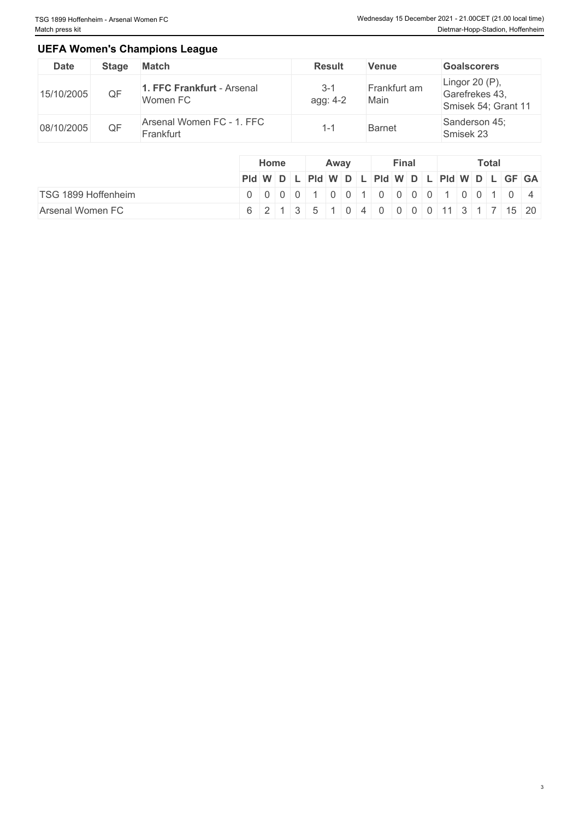#### **UEFA Women's Champions League**

| <b>Date</b> | Stage | <b>Match</b>                           | <b>Result</b>       | Venue                | <b>Goalscorers</b>                                         |
|-------------|-------|----------------------------------------|---------------------|----------------------|------------------------------------------------------------|
| 15/10/2005  | QF    | 1. FFC Frankfurt - Arsenal<br>Women FC | $3 - 1$<br>agg: 4-2 | Frankfurt am<br>Main | Lingor 20 $(P)$ ,<br>Garefrekes 43,<br>Smisek 54; Grant 11 |
| 08/10/2005  | QF    | Arsenal Women FC - 1. FFC<br>Frankfurt |                     | <b>Barnet</b>        | Sanderson 45;<br>Smisek 23                                 |

|                     |                                               | Home |  | Away |  | Final |  |  | <b>Total</b> |  |
|---------------------|-----------------------------------------------|------|--|------|--|-------|--|--|--------------|--|
|                     | PId W D L PId W D L PId W D L PId W D L GF GA |      |  |      |  |       |  |  |              |  |
| TSG 1899 Hoffenheim | 0 0 0 0 0 1 0 0 1 0 0 0 0 0 1 0 0 1 0 0 1 0   |      |  |      |  |       |  |  |              |  |
| Arsenal Women FC    | 6 2 1 3 5 1 0 4 0 0 0 0 11 3 1 7 15 20        |      |  |      |  |       |  |  |              |  |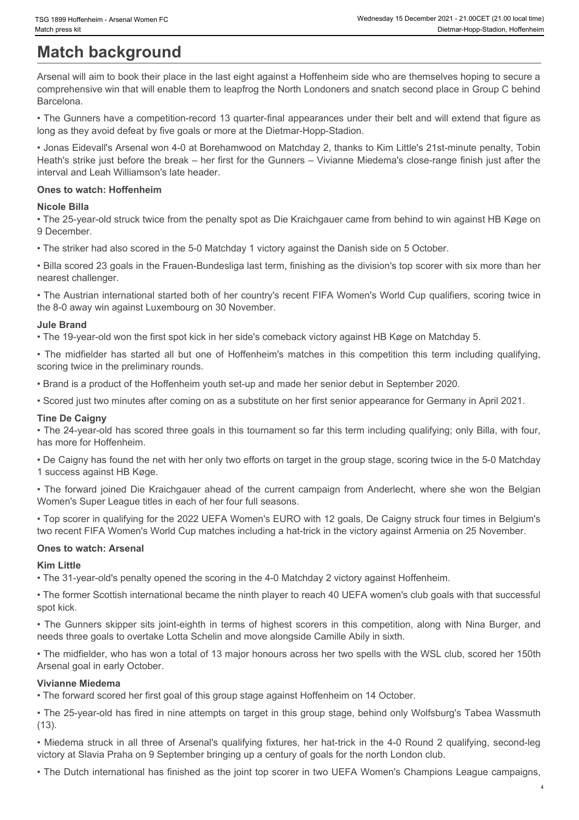## **Match background**

Arsenal will aim to book their place in the last eight against a Hoffenheim side who are themselves hoping to secure a comprehensive win that will enable them to leapfrog the North Londoners and snatch second place in Group C behind Barcelona.

• The Gunners have a competition-record 13 quarter-final appearances under their belt and will extend that figure as long as they avoid defeat by five goals or more at the Dietmar-Hopp-Stadion.

• Jonas Eidevall's Arsenal won 4-0 at Borehamwood on Matchday 2, thanks to Kim Little's 21st-minute penalty, Tobin Heath's strike just before the break – her first for the Gunners – Vivianne Miedema's close-range finish just after the interval and Leah Williamson's late header. Frix text is the minimizer case of Webester 2021.<br>
• The minimizer of **Dack Cyrollind**<br>
• Mission Competents all all minimizers of the minimizer of the minimizer of the minimizer of the minimizer of<br>
• The Gunners have a c

#### **Ones to watch: Hoffenheim**

#### **Nicole Billa**

• The 25-year-old struck twice from the penalty spot as Die Kraichgauer came from behind to win against HB Køge on 9 December.

• The striker had also scored in the 5-0 Matchday 1 victory against the Danish side on 5 October.

• Billa scored 23 goals in the Frauen-Bundesliga last term, finishing as the division's top scorer with six more than her nearest challenger.

• The Austrian international started both of her country's recent FIFA Women's World Cup qualifiers, scoring twice in the 8-0 away win against Luxembourg on 30 November.

#### **Jule Brand**

• The 19-year-old won the first spot kick in her side's comeback victory against HB Køge on Matchday 5.

scoring twice in the preliminary rounds.

• Brand is a product of the Hoffenheim youth set-up and made her senior debut in September 2020.

• Scored just two minutes after coming on as a substitute on her first senior appearance for Germany in April 2021.

#### **Tine De Caigny**

• The 24-year-old has scored three goals in this tournament so far this term including qualifying; only Billa, with four, has more for Hoffenheim.

• De Caigny has found the net with her only two efforts on target in the group stage, scoring twice in the 5-0 Matchday 1 success against HB Køge.

• The forward joined Die Kraichgauer ahead of the current campaign from Anderlecht, where she won the Belgian Women's Super League titles in each of her four full seasons.

• Top scorer in qualifying for the 2022 UEFA Women's EURO with 12 goals, De Caigny struck four times in Belgium's two recent FIFA Women's World Cup matches including a hat-trick in the victory against Armenia on 25 November.

#### **Ones to watch: Arsenal**

#### **Kim Little**

• The 31-year-old's penalty opened the scoring in the 4-0 Matchday 2 victory against Hoffenheim.

• The former Scottish international became the ninth player to reach 40 UEFA women's club goals with that successful spot kick.

• The Gunners skipper sits joint-eighth in terms of highest scorers in this competition, along with Nina Burger, and needs three goals to overtake Lotta Schelin and move alongside Camille Abily in sixth.

• The midfielder, who has won a total of 13 major honours across her two spells with the WSL club, scored her 150th Arsenal goal in early October.

#### **Vivianne Miedema**

• The forward scored her first goal of this group stage against Hoffenheim on 14 October.

• The 25-year-old has fired in nine attempts on target in this group stage, behind only Wolfsburg's Tabea Wassmuth (13).

• Miedema struck in all three of Arsenal's qualifying fixtures, her hat-trick in the 4-0 Round 2 qualifying, second-leg victory at Slavia Praha on 9 September bringing up a century of goals for the north London club.

• The Dutch international has finished as the joint top scorer in two UEFA Women's Champions League campaigns,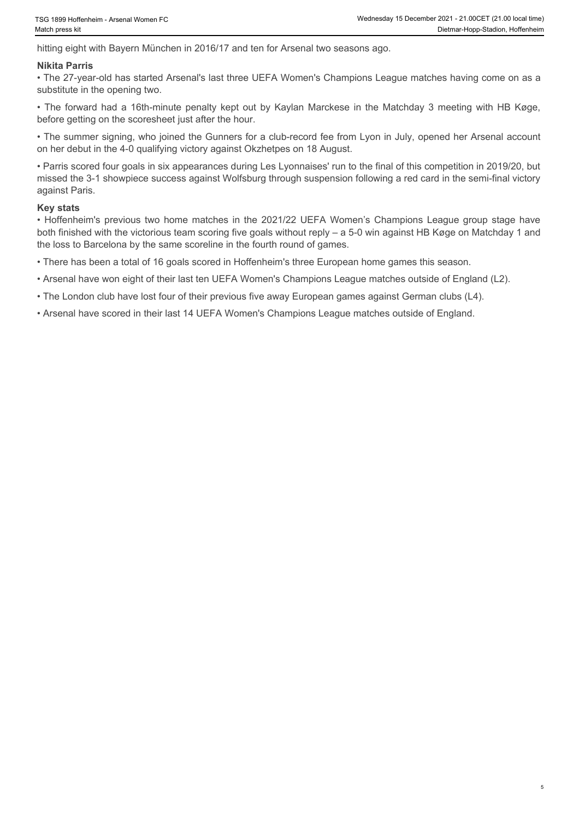hitting eight with Bayern München in 2016/17 and ten for Arsenal two seasons ago.

#### **Nikita Parris**

• The 27-year-old has started Arsenal's last three UEFA Women's Champions League matches having come on as a substitute in the opening two.

before getting on the scoresheet just after the hour.

• The summer signing, who joined the Gunners for a club-record fee from Lyon in July, opened her Arsenal account on her debut in the 4-0 qualifying victory against Okzhetpes on 18 August.

Figs 1999 Hoffenheim - Arsenal Women FC<br>
• Wednesday 15 December 2021 - 21:00 Ceral (The position)<br>
haddness skit<br>
• The 27-year-old has started Arsenal's last three UEFA Women's Champions League matches having come on as • Parris scored four goals in six appearances during Les Lyonnaises' run to the final of this competition in 2019/20, but missed the 3-1 showpiece success against Wolfsburg through suspension following a red card in the semi-final victory against Paris. For 1899 Heffenheim's Arenawl Women FC Wednesday 19 Obsember 2021-21 300CFT (21:00 local temp)<br>
hikkita Parris<br>
hikkita Parris<br>
hikkita Parris<br>
Hikkita Parris<br>
Filme 27-year-old has started Arsenal's last three UEFA Women'

#### **Key stats**

both finished with the victorious team scoring five goals without reply – a 5-0 win against HB Køge on Matchday 1 and the loss to Barcelona by the same scoreline in the fourth round of games.

• There has been a total of 16 goals scored in Hoffenheim's three European home games this season.

• Arsenal have won eight of their last ten UEFA Women's Champions League matches outside of England (L2).

• The London club have lost four of their previous five away European games against German clubs (L4).

• Arsenal have scored in their last 14 UEFA Women's Champions League matches outside of England.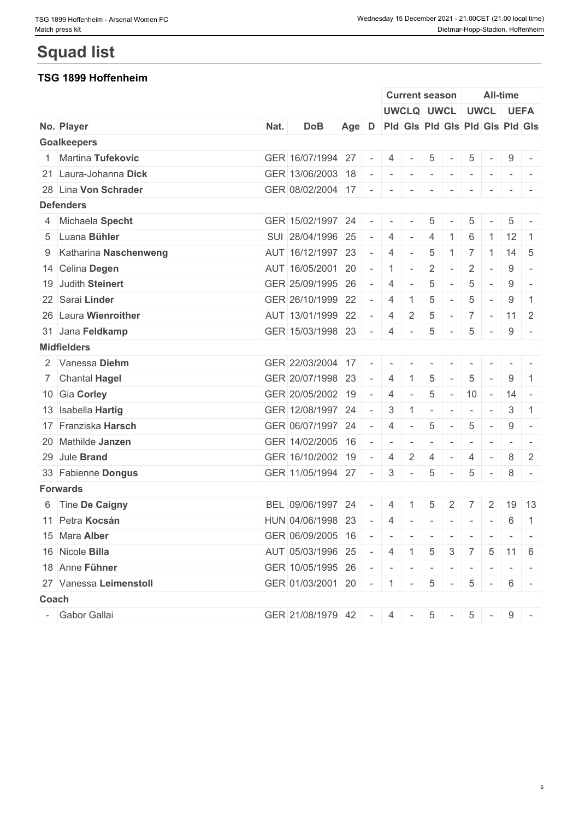# **Squad list**

#### **TSG 1899 Hoffenheim**

|                         |      |                                             |                                       |        |                | <b>Current season</b> |                          |                          |                          |                          | <b>All-time</b> |                          |
|-------------------------|------|---------------------------------------------|---------------------------------------|--------|----------------|-----------------------|--------------------------|--------------------------|--------------------------|--------------------------|-----------------|--------------------------|
|                         |      |                                             |                                       |        |                |                       |                          | UWCLQ UWCL UWCL UEFA     |                          |                          |                 |                          |
| No. Player              | Nat. | <b>DoB</b>                                  | Age D Pld Gls Pld Gls Pld Gls Pld Gls |        |                |                       |                          |                          |                          |                          |                 |                          |
| <b>Goalkeepers</b>      |      |                                             |                                       |        |                |                       |                          |                          |                          |                          |                 |                          |
| 1 Martina Tufekovic     |      | GER 16/07/1994 27                           |                                       | $\sim$ | 4              | $\sim$                | 5                        |                          | 5                        |                          | 9               |                          |
| 21 Laura-Johanna Dick   |      | GER 13/06/2003 18                           |                                       | $\sim$ | $\sim$         | $\sim$                | $\overline{\phantom{a}}$ | $\sim$                   | $\overline{\phantom{a}}$ | $\sim$                   | $\sim$ 10 $\pm$ | $\sim$                   |
| 28 Lina Von Schrader    |      | GER 08/02/2004 17 - - -                     |                                       |        |                |                       | $\sim$                   | $\overline{\phantom{a}}$ | $\overline{\phantom{a}}$ |                          | $\sim$          |                          |
| <b>Defenders</b>        |      |                                             |                                       |        |                |                       |                          |                          |                          |                          |                 |                          |
| 4 Michaela Specht       |      | GER 15/02/1997 24                           |                                       | $\sim$ | $\sim$         | $\sim$                | $\overline{5}$           |                          | 5                        |                          | 5               | $\overline{\phantom{a}}$ |
| 5 Luana Bühler          |      | SUI 28/04/1996 25                           |                                       | $\sim$ | 4              | $\sim$                | $\overline{4}$           |                          | 6                        |                          | $12 \mid 1$     |                          |
| 9 Katharina Naschenweng |      | AUT 16/12/1997 23                           |                                       | $\sim$ | $\overline{4}$ | $\sim$                | 5                        | -1                       | $\overline{7}$           | $\overline{1}$           |                 | $14 \quad 5$             |
| 14 Celina Degen         |      | AUT 16/05/2001 20                           |                                       | $\sim$ | $1$ $-$        |                       | $\overline{2}$           | $\sim$                   | $\overline{2}$           | $\sim$                   | 9               | $\overline{a}$           |
| 19 Judith Steinert      |      | GER 25/09/1995 26                           |                                       | $\sim$ | $\overline{4}$ | $\sim$                | 5                        | $\sim$                   | 5                        | $\overline{\phantom{a}}$ | 9               | $\overline{\phantom{a}}$ |
| 22 Sarai Linder         |      | GER 26/10/1999 22                           |                                       | $\sim$ | $\overline{4}$ |                       | 5                        |                          | 5                        |                          | 9               | $\mathbf{1}$             |
| 26 Laura Wienroither    |      | AUT 13/01/1999 22                           |                                       | $\sim$ | $\overline{4}$ | 2                     | $\overline{5}$           | $\sim$                   |                          |                          | $7 - 11$ 2      |                          |
| 31 Jana Feldkamp        |      | GER 15/03/1998 23                           |                                       | $\sim$ | 4              | $\sim$                | 5                        |                          | 5                        | $\sim$                   | 9               |                          |
| <b>Midfielders</b>      |      |                                             |                                       |        |                |                       |                          |                          |                          |                          |                 |                          |
| 2 Vanessa Diehm         |      | GER 22/03/2004 17 -                         |                                       |        |                |                       |                          |                          |                          |                          |                 |                          |
| 7 Chantal Hagel         |      | GER 20/07/1998 23                           |                                       | $\sim$ | $\overline{4}$ |                       | 5                        |                          | 5                        |                          | 9               | -1                       |
| 10 Gia Corley           |      | GER 20/05/2002 19                           |                                       | $\sim$ | $\overline{4}$ | $\sim$                | $\overline{5}$           | $\sim$                   | 10                       | $\sim$                   | $14 -$          |                          |
| 13 Isabella Hartig      |      | GER 12/08/1997 24                           |                                       | $\sim$ | 3              | $\mathbf{1}$          | $\overline{\phantom{a}}$ | $\sim$                   | $\sim$                   | $\sim$                   | 3               | $\overline{1}$           |
| 17 Franziska Harsch     |      | GER 06/07/1997 24                           |                                       | $\sim$ | $\overline{4}$ |                       | $\overline{5}$           |                          | 5                        |                          | 9               | $\sim$                   |
| 20 Mathilde Janzen      |      | GER 14/02/2005 16                           |                                       | $\sim$ | $\sim$         |                       |                          |                          |                          |                          |                 |                          |
| 29 Jule Brand           |      | GER 16/10/2002 19                           |                                       | $\sim$ | 4              | 2                     | $\overline{4}$           |                          | 4                        |                          | 8               | 2                        |
| 33 Fabienne Dongus      |      | GER 11/05/1994 27                           |                                       | $\sim$ | $\mathcal{S}$  | $\sim$                | $\overline{5}$           | $\sim$                   | 5                        | $\sim$                   | 8               | $\sim$                   |
| <b>Forwards</b>         |      |                                             |                                       |        |                |                       |                          |                          |                          |                          |                 |                          |
| 6 Tine De Caigny        |      | BEL 09/06/1997                              | 24                                    | $\sim$ | $\overline{4}$ |                       | 5                        | 2                        |                          | 2                        |                 | 19 13                    |
| 11 Petra Kocsán         |      | HUN 04/06/1998 23                           |                                       | $\sim$ | 4              | $\sim$                | $\sim$                   | $\sim$                   | $\sim$                   | $\sim$                   | 6               | $\mathbf{1}$             |
| 15 Mara Alber           |      | GER 06/09/2005 16 - - - - - - - - - - - - - |                                       |        |                |                       |                          |                          |                          |                          |                 |                          |
| 16 Nicole Billa         |      | AUT 05/03/1996 25 - 4 1 5 3 7 5 11 6        |                                       |        |                |                       |                          |                          |                          |                          |                 |                          |
| 18 Anne Fühner          |      | GER 10/05/1995 26 - - - - - - - - - - - -   |                                       |        |                |                       |                          |                          |                          |                          |                 |                          |
| 27 Vanessa Leimenstoll  |      | GER 01/03/2001 20 - 1 - 5 - 5 - 6 -         |                                       |        |                |                       |                          |                          |                          |                          |                 |                          |
| Coach                   |      |                                             |                                       |        |                |                       |                          |                          |                          |                          |                 |                          |
| - Gabor Gallai          |      | GER 21/08/1979 42 - 4 - 5 - 5 - 9 -         |                                       |        |                |                       |                          |                          |                          |                          |                 |                          |
|                         |      |                                             |                                       |        |                |                       |                          |                          |                          |                          |                 |                          |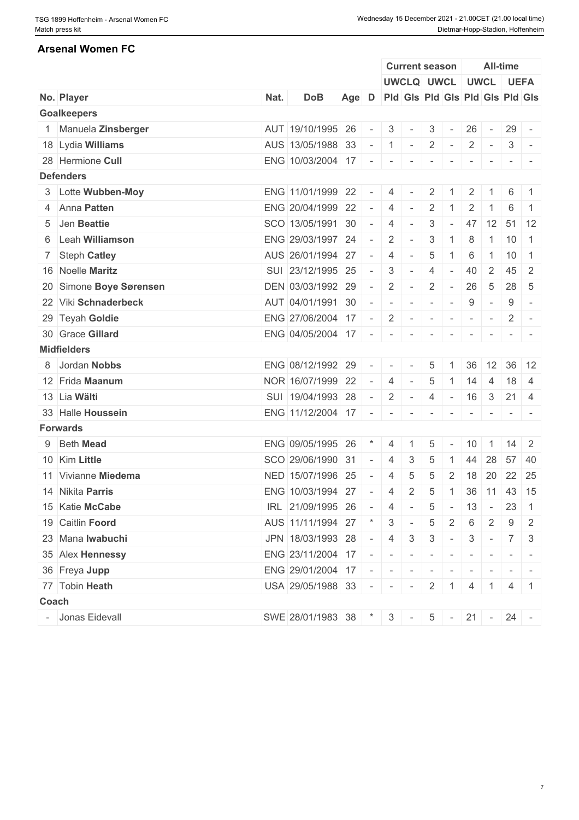#### **Arsenal Women FC**

|                         |      |                                              |                                       |                          |                | <b>Current season</b>       |                           |            |                          |                 | All-time                                                                                                                                                                                                                                                                                                                                                                                                                                                                               |                |
|-------------------------|------|----------------------------------------------|---------------------------------------|--------------------------|----------------|-----------------------------|---------------------------|------------|--------------------------|-----------------|----------------------------------------------------------------------------------------------------------------------------------------------------------------------------------------------------------------------------------------------------------------------------------------------------------------------------------------------------------------------------------------------------------------------------------------------------------------------------------------|----------------|
|                         |      |                                              |                                       |                          |                | UWCLQ UWCL UWCL UEFA        |                           |            |                          |                 |                                                                                                                                                                                                                                                                                                                                                                                                                                                                                        |                |
| No. Player              | Nat. | <b>DoB</b>                                   | Age D Pid Gis Pid Gis Pid Gis Pid Gis |                          |                |                             |                           |            |                          |                 |                                                                                                                                                                                                                                                                                                                                                                                                                                                                                        |                |
| <b>Goalkeepers</b>      |      |                                              |                                       |                          |                |                             |                           |            |                          |                 |                                                                                                                                                                                                                                                                                                                                                                                                                                                                                        |                |
| Manuela Zinsberger      |      | AUT 19/10/1995 26                            |                                       | $\sim$                   | $\mathcal{S}$  | $\vert \cdot \vert = \vert$ | 3                         | $\sim$     | 26                       | $\sim 10^{-10}$ | $29 -$                                                                                                                                                                                                                                                                                                                                                                                                                                                                                 |                |
| 18 Lydia Williams       |      | AUS 13/05/1988 33                            |                                       |                          | $-1$ $-2$      |                             |                           | $\sim$ $-$ | $\overline{2}$           | $\sim$ $-$      | 3                                                                                                                                                                                                                                                                                                                                                                                                                                                                                      |                |
| 28 Hermione Cull        |      | ENG 10/03/2004 17                            |                                       | $\sim$                   | $\sim$         | $\overline{\phantom{a}}$    |                           |            |                          |                 |                                                                                                                                                                                                                                                                                                                                                                                                                                                                                        |                |
| <b>Defenders</b>        |      |                                              |                                       |                          |                |                             |                           |            |                          |                 |                                                                                                                                                                                                                                                                                                                                                                                                                                                                                        |                |
| 3 Lotte Wubben-Moy      |      | ENG 11/01/1999 22                            |                                       | $\sim$                   | -4             |                             | $\overline{2}$            |            | 2                        |                 | 6                                                                                                                                                                                                                                                                                                                                                                                                                                                                                      | $\overline{1}$ |
| 4 Anna Patten           |      | ENG 20/04/1999 22                            |                                       | $\sim$                   | $\overline{4}$ | $\sim$ $-$                  | $\overline{2}$            |            | $\overline{2}$           |                 | 6                                                                                                                                                                                                                                                                                                                                                                                                                                                                                      |                |
| 5 Jen Beattie           |      | SCO 13/05/1991 30                            |                                       | $\sim$                   | $\overline{4}$ | $\overline{\phantom{a}}$    | 3                         | $\sim$     |                          | 47 12           |                                                                                                                                                                                                                                                                                                                                                                                                                                                                                        | $51 \mid 12$   |
| 6 Leah Williamson       |      | ENG 29/03/1997 24                            |                                       | $\sim$                   | 2              | $\sim$                      | 3                         |            | 8                        | $\overline{1}$  | 10                                                                                                                                                                                                                                                                                                                                                                                                                                                                                     | $\overline{1}$ |
| 7 Steph Catley          |      | AUS 26/01/1994 27                            |                                       | $\sim$                   | 4              | $\sim$                      | 5                         |            | 6                        | -1              | 10                                                                                                                                                                                                                                                                                                                                                                                                                                                                                     | $\overline{1}$ |
| 16 Noelle Maritz        |      | SUI 23/12/1995 25                            |                                       | $\sim$                   | 3              | $\overline{\phantom{a}}$    | $\overline{4}$            | $\sim$     | 40                       | 2               | 45                                                                                                                                                                                                                                                                                                                                                                                                                                                                                     | $\overline{2}$ |
| 20 Simone Boye Sørensen |      | DEN 03/03/1992 29                            |                                       | $\sim$                   | 2              | $\sim$                      | $\overline{2}$            | $\sim$     | 26                       | $5\overline{5}$ | $28 \mid 5$                                                                                                                                                                                                                                                                                                                                                                                                                                                                            |                |
| 22 Viki Schnaderbeck    |      | AUT 04/01/1991 30                            |                                       | $\sim$                   | $\sim$         | $\sim$                      | $\sim$                    | $\sim$     | 9                        | $\sim$          | 9                                                                                                                                                                                                                                                                                                                                                                                                                                                                                      | $\sim$         |
| 29 Teyah Goldie         |      | $ENG$ 27/06/2004 17 - 2 -                    |                                       |                          |                |                             | $\sim$                    | $\sim$     | $\sim$                   | $\sim$          | $\overline{2}$                                                                                                                                                                                                                                                                                                                                                                                                                                                                         |                |
| 30 Grace Gillard        |      | $ENG$ 04/05/2004 17 - -                      |                                       |                          |                |                             | $\mathbf{r} = \mathbf{r}$ | $\sim$     | $\overline{\phantom{a}}$ |                 |                                                                                                                                                                                                                                                                                                                                                                                                                                                                                        |                |
| <b>Midfielders</b>      |      |                                              |                                       |                          |                |                             |                           |            |                          |                 |                                                                                                                                                                                                                                                                                                                                                                                                                                                                                        |                |
| 8 Jordan Nobbs          |      | ENG 08/12/1992 29                            |                                       | $\overline{\phantom{a}}$ |                |                             | 5                         |            | 36                       | 12              |                                                                                                                                                                                                                                                                                                                                                                                                                                                                                        | $36 \mid 12$   |
| 12 Frida Maanum         |      | NOR 16/07/1999 22                            |                                       | $\sim$                   | 4              | $\sim$                      | 5                         |            | 14                       | 4               | 18                                                                                                                                                                                                                                                                                                                                                                                                                                                                                     | -4             |
| 13 Lia Wälti            |      | SUI 19/04/1993 28                            |                                       | $\sim$                   | $\overline{2}$ | $\sim$                      | $\overline{4}$            | $\sim$ $-$ |                          | $16 \quad 3$    | 21                                                                                                                                                                                                                                                                                                                                                                                                                                                                                     | 4              |
| 33 Halle Houssein       |      | ENG 11/12/2004 17 -                          |                                       |                          | $\sim$         | $\overline{\phantom{a}}$    |                           |            |                          |                 |                                                                                                                                                                                                                                                                                                                                                                                                                                                                                        |                |
| <b>Forwards</b>         |      |                                              |                                       |                          |                |                             |                           |            |                          |                 |                                                                                                                                                                                                                                                                                                                                                                                                                                                                                        |                |
| 9 Beth Mead             |      | ENG 09/05/1995 26                            |                                       | $\star$                  |                |                             |                           |            |                          | $\overline{1}$  | $14 \quad 2$                                                                                                                                                                                                                                                                                                                                                                                                                                                                           |                |
|                         |      |                                              |                                       |                          | 4              |                             | 5                         |            | 10                       |                 |                                                                                                                                                                                                                                                                                                                                                                                                                                                                                        |                |
| 10 Kim Little           |      | SCO 29/06/1990 31                            |                                       | $\sim$                   | 4              | 3                           | 5                         |            | 44                       | 28              | 57 40                                                                                                                                                                                                                                                                                                                                                                                                                                                                                  |                |
| 11 Vivianne Miedema     |      | NED 15/07/1996 25                            |                                       | $\sim$                   | 4              | $\overline{5}$              | 5                         | 2          |                          | 18 20           | $22 \mid 25$                                                                                                                                                                                                                                                                                                                                                                                                                                                                           |                |
| 14 Nikita Parris        |      | ENG 10/03/1994 27 - 4 2 5 1 36 11 43 15      |                                       |                          |                |                             |                           |            |                          |                 |                                                                                                                                                                                                                                                                                                                                                                                                                                                                                        |                |
| 15 Katie McCabe         |      | IRL 21/09/1995 26                            |                                       |                          | $-4$ $-$       |                             |                           |            |                          |                 | $5 - 13 - 23$ 1                                                                                                                                                                                                                                                                                                                                                                                                                                                                        |                |
| 19 Caitlin Foord        |      | AUS 11/11/1994 27 * 3 -                      |                                       |                          |                |                             | 5                         | 2          | 6                        | 2               | 9                                                                                                                                                                                                                                                                                                                                                                                                                                                                                      | $\overline{2}$ |
| 23 Mana Iwabuchi        |      | JPN 18/03/1993 28                            |                                       |                          | $-43$          |                             | 3                         | $\sim$     |                          | $3 -$           | 7 <sup>1</sup>                                                                                                                                                                                                                                                                                                                                                                                                                                                                         | - 3            |
| 35 Alex Hennessy        |      | ENG 23/11/2004 17 - - - - - - - - -          |                                       |                          |                |                             |                           |            |                          |                 | $\begin{array}{cccccccccccccc} \multicolumn{2}{c}{} & \multicolumn{2}{c}{} & \multicolumn{2}{c}{} & \multicolumn{2}{c}{} & \multicolumn{2}{c}{} & \multicolumn{2}{c}{} & \multicolumn{2}{c}{} & \multicolumn{2}{c}{} & \multicolumn{2}{c}{} & \multicolumn{2}{c}{} & \multicolumn{2}{c}{} & \multicolumn{2}{c}{} & \multicolumn{2}{c}{} & \multicolumn{2}{c}{} & \multicolumn{2}{c}{} & \multicolumn{2}{c}{} & \multicolumn{2}{c}{} & \multicolumn{2}{c}{} & \multicolumn{2}{c}{} & \$ |                |
| 36 Freya Jupp           |      | $ENG$ 29/01/2004 17 - - - -                  |                                       |                          |                |                             |                           |            |                          |                 |                                                                                                                                                                                                                                                                                                                                                                                                                                                                                        |                |
| 77 Tobin Heath          |      | USA 29/05/1988 33 - - - 2 1 4 1              |                                       |                          |                |                             |                           |            |                          |                 |                                                                                                                                                                                                                                                                                                                                                                                                                                                                                        | 4 1            |
| Coach                   |      |                                              |                                       |                          |                |                             |                           |            |                          |                 |                                                                                                                                                                                                                                                                                                                                                                                                                                                                                        |                |
| - Jonas Eidevall        |      | SWE 28/01/1983 38 $\mid$ * 3 - 5 - 21 - 24 - |                                       |                          |                |                             |                           |            |                          |                 |                                                                                                                                                                                                                                                                                                                                                                                                                                                                                        |                |
|                         |      |                                              |                                       |                          |                |                             |                           |            |                          |                 |                                                                                                                                                                                                                                                                                                                                                                                                                                                                                        |                |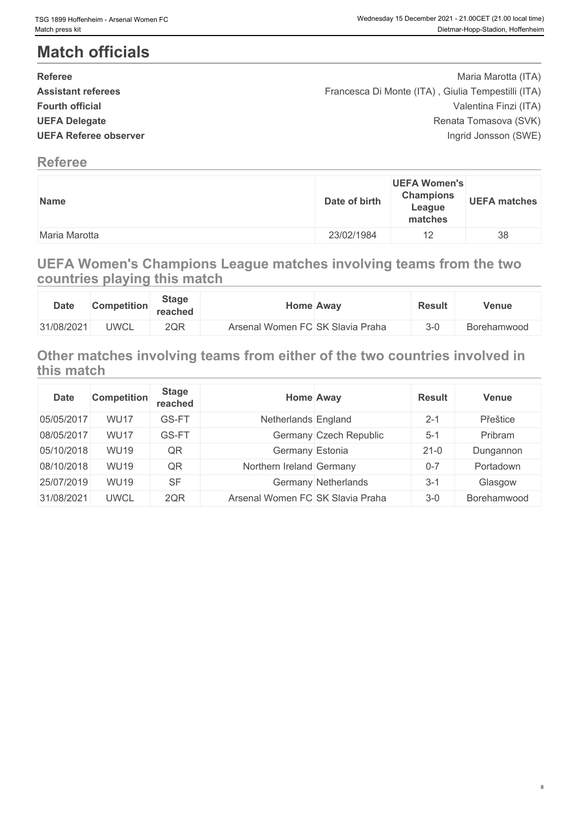## **Match officials**

| <b>Referee</b>               | Maria Marotta (ITA)                                |  |
|------------------------------|----------------------------------------------------|--|
| <b>Assistant referees</b>    | Francesca Di Monte (ITA), Giulia Tempestilli (ITA) |  |
| <b>Fourth official</b>       | Valentina Finzi (ITA)                              |  |
| <b>UEFA Delegate</b>         | Renata Tomasova (SVK)                              |  |
| <b>UEFA Referee observer</b> | Ingrid Jonsson (SWE)                               |  |
|                              |                                                    |  |

### **Referee**

| <b>Name</b>   | Date of birth | <b>UEFA Women's</b><br><b>Champions</b><br>League<br>matches | <b>UEFA matches</b> |
|---------------|---------------|--------------------------------------------------------------|---------------------|
| Maria Marotta | 23/02/1984    | 12                                                           | 38                  |

## **UEFA Women's Champions League matches involving teams from the two countries playing this match**

| <b>Date</b> | <b>Competition</b> | <b>Stage</b><br>reached | Home Away                        | <b>Result</b> | <b>Venue</b>       |
|-------------|--------------------|-------------------------|----------------------------------|---------------|--------------------|
| 31/08/2021  | <b>UWCL</b>        | 2QR                     | Arsenal Women FC SK Slavia Praha | $3 - 0$       | <b>Borehamwood</b> |

## **Other matches involving teams from either of the two countries involved in this match**

| <b>Date</b> | <b>Competition</b> | <b>Stage</b><br>reached |                                  | <b>Home Away</b>       | <b>Result</b> | <b>Venue</b> |
|-------------|--------------------|-------------------------|----------------------------------|------------------------|---------------|--------------|
| 05/05/2017  | <b>WU17</b>        | GS-FT                   | Netherlands England              |                        | $2 - 1$       | Přeštice     |
| 08/05/2017  | <b>WU17</b>        | GS-FT                   |                                  | Germany Czech Republic | $5 - 1$       | Pribram      |
| 05/10/2018  | <b>WU19</b>        | QR                      | Germany Estonia                  |                        | $21-0$        | Dungannon    |
| 08/10/2018  | <b>WU19</b>        | QR                      | Northern Ireland Germany         |                        | $0 - 7$       | Portadown    |
| 25/07/2019  | <b>WU19</b>        | <b>SF</b>               |                                  | Germany Netherlands    | $3-1$         | Glasgow      |
| 31/08/2021  | <b>UWCL</b>        | 2QR                     | Arsenal Women FC SK Slavia Praha |                        | $3-0$         | Borehamwood  |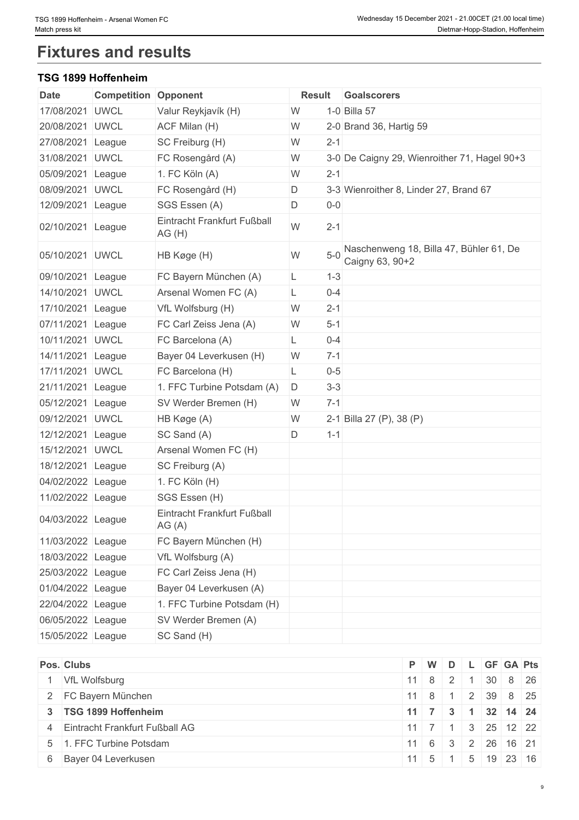## **Fixtures and results**

#### **TSG 1899 Hoffenheim**

| <b>Date</b>       | <b>Competition Opponent</b> |                                      | <b>Result</b> |         | Goalscorers                                                |
|-------------------|-----------------------------|--------------------------------------|---------------|---------|------------------------------------------------------------|
| 17/08/2021        | <b>UWCL</b>                 | Valur Reykjavík (H)                  | W             |         | 1-0 Billa 57                                               |
| 20/08/2021        | <b>UWCL</b>                 | ACF Milan (H)                        | W             |         | 2-0 Brand 36, Hartig 59                                    |
| 27/08/2021        | League                      | SC Freiburg (H)                      | W             | $2 - 1$ |                                                            |
| 31/08/2021        | <b>UWCL</b>                 | FC Rosengård (A)                     | W             |         | 3-0 De Caigny 29, Wienroither 71, Hagel 90+3               |
| 05/09/2021 League |                             | 1. FC Köln (A)                       | W             | $2 - 1$ |                                                            |
| 08/09/2021 UWCL   |                             | FC Rosengård (H)                     | D             |         | 3-3 Wienroither 8, Linder 27, Brand 67                     |
| 12/09/2021 League |                             | SGS Essen (A)                        | D             | $0-0$   |                                                            |
| 02/10/2021 League |                             | Eintracht Frankfurt Fußball<br>AG(H) | W             | $2 - 1$ |                                                            |
| 05/10/2021 UWCL   |                             | HB Køge (H)                          | W             | $5-0$   | Naschenweng 18, Billa 47, Bühler 61, De<br>Caigny 63, 90+2 |
| 09/10/2021 League |                             | FC Bayern München (A)                | L             | $1 - 3$ |                                                            |
| 14/10/2021 UWCL   |                             | Arsenal Women FC (A)                 | L             | $0 - 4$ |                                                            |
| 17/10/2021 League |                             | VfL Wolfsburg (H)                    | W             | $2 - 1$ |                                                            |
| 07/11/2021 League |                             | FC Carl Zeiss Jena (A)               | W             | $5 - 1$ |                                                            |
| 10/11/2021        | <b>UWCL</b>                 | FC Barcelona (A)                     | L             | $0 - 4$ |                                                            |
| 14/11/2021 League |                             | Bayer 04 Leverkusen (H)              | W             | $7 - 1$ |                                                            |
| 17/11/2021 UWCL   |                             | FC Barcelona (H)                     | L             | $0-5$   |                                                            |
| 21/11/2021 League |                             | 1. FFC Turbine Potsdam (A)           | D             | $3 - 3$ |                                                            |
| 05/12/2021 League |                             | SV Werder Bremen (H)                 | W             | $7 - 1$ |                                                            |
| 09/12/2021 UWCL   |                             | HB Køge (A)                          | W             |         | 2-1 Billa 27 (P), 38 (P)                                   |
| 12/12/2021        | League                      | SC Sand (A)                          | D             | $1 - 1$ |                                                            |
| 15/12/2021 UWCL   |                             | Arsenal Women FC (H)                 |               |         |                                                            |
| 18/12/2021 League |                             | SC Freiburg (A)                      |               |         |                                                            |
| 04/02/2022 League |                             | 1. FC Köln (H)                       |               |         |                                                            |
| 11/02/2022 League |                             | SGS Essen (H)                        |               |         |                                                            |
| 04/03/2022 League |                             | Eintracht Frankfurt Fußball<br>AG(A) |               |         |                                                            |
| 11/03/2022 League |                             | FC Bayern München (H)                |               |         |                                                            |
| 18/03/2022 League |                             | VfL Wolfsburg (A)                    |               |         |                                                            |
| 25/03/2022 League |                             | FC Carl Zeiss Jena (H)               |               |         |                                                            |
| 01/04/2022 League |                             | Bayer 04 Leverkusen (A)              |               |         |                                                            |
| 22/04/2022 League |                             | 1. FFC Turbine Potsdam (H)           |               |         |                                                            |
| 06/05/2022 League |                             | SV Werder Bremen (A)                 |               |         |                                                            |
| 15/05/2022 League |                             | SC Sand (H)                          |               |         |                                                            |

| Pos. Clubs                       |  |  | P W D L GF GA Pts                                      |  |
|----------------------------------|--|--|--------------------------------------------------------|--|
| 1 VfL Wolfsburg                  |  |  | $11 \t8 \t2 \t1 \t30 \t8 \t26$                         |  |
| 2 FC Bayern München              |  |  | 11 8 1 2 39 8 25                                       |  |
| 3 TSG 1899 Hoffenheim            |  |  | $11 \mid 7 \mid 3 \mid 1 \mid 32 \mid 14 \mid 24$      |  |
| 4 Eintracht Frankfurt Fußball AG |  |  | $11 \mid 7 \mid 1 \mid 3 \mid 25 \mid 12 \mid 22 \mid$ |  |
| 5 1. FFC Turbine Potsdam         |  |  | 11   6   3   2   26   16   21                          |  |
| 6 Bayer 04 Leverkusen            |  |  | $11 \t5 \t1 \t5 \t19 \t23 \t16$                        |  |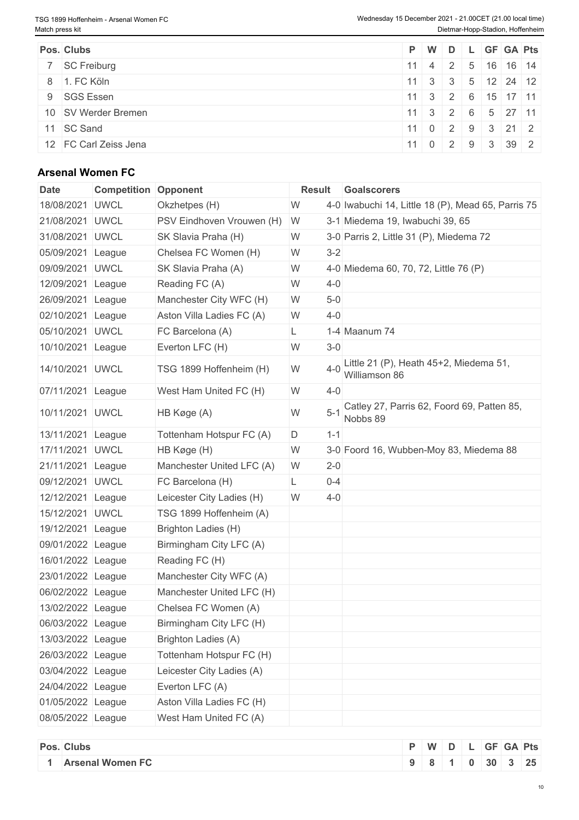| Pos. Clubs            |  |  | P W D L GF GA Pts                                      |  |
|-----------------------|--|--|--------------------------------------------------------|--|
| 7 SC Freiburg         |  |  | $11 \mid 4 \mid 2 \mid 5 \mid 16 \mid 16 \mid 14 \mid$ |  |
| 8 1. FC Köln          |  |  | $11 \ 3 \ 3 \ 1 \ 5 \ 12 \ 24 \ 12$                    |  |
| 9 SGS Essen           |  |  | $11 \mid 3 \mid 2 \mid 6 \mid 15 \mid 17 \mid 11 \mid$ |  |
| 10 SV Werder Bremen   |  |  | $11 \t3 \t2 \t6 \t5 \t27 \t11$                         |  |
| 11 SC Sand            |  |  | $ 11 $ 0 2 9 3 21 2                                    |  |
| 12 FC Carl Zeiss Jena |  |  | 11 0 2 9 3 39 2                                        |  |

## **Arsenal Women FC**

| 18/08/2021 UWCL<br>W<br>Okzhetpes (H)<br>21/08/2021 UWCL<br>PSV Eindhoven Vrouwen (H)<br>3-1 Miedema 19, Iwabuchi 39, 65<br>- W<br>31/08/2021 UWCL<br>SK Slavia Praha (H)<br>W<br>$3 - 2$<br>05/09/2021 League<br>Chelsea FC Women (H)<br>W<br>09/09/2021 UWCL<br>SK Slavia Praha (A)<br>W<br>12/09/2021 League<br>Reading FC (A)<br>W<br>$4 - 0$<br>26/09/2021 League<br>Manchester City WFC (H)<br>W<br>$5-0$<br>Aston Villa Ladies FC (A)<br>$4 - 0$<br>02/10/2021 League<br>W<br>05/10/2021 UWCL<br>FC Barcelona (A)<br>1-4 Maanum 74<br>L.<br>10/10/2021 League<br>Everton LFC (H)<br>W<br>$3-0$<br>$4 - 0$<br>W<br>14/10/2021 UWCL<br>TSG 1899 Hoffenheim (H)<br>Williamson 86<br>07/11/2021 League<br>West Ham United FC (H)<br>W<br>$4 - 0$<br>$5 - 1$<br>W<br>10/11/2021 UWCL<br>HB Køge (A)<br>Nobbs 89<br>13/11/2021 League<br>Tottenham Hotspur FC (A)<br>$1 - 1$<br>D<br>17/11/2021 UWCL<br>HB Køge (H)<br>W<br>21/11/2021 League<br>Manchester United LFC (A)<br>W<br>$2 - 0$<br>09/12/2021 UWCL<br>FC Barcelona (H)<br>$0 - 4$<br>L<br>12/12/2021 League<br>Leicester City Ladies (H)<br>W<br>$4 - 0$<br>15/12/2021 UWCL<br>TSG 1899 Hoffenheim (A)<br>19/12/2021 League<br>Brighton Ladies (H)<br>09/01/2022 League<br>Birmingham City LFC (A)<br>16/01/2022 League<br>Reading FC (H)<br>23/01/2022 League<br>Manchester City WFC (A)<br>06/02/2022 League<br>Manchester United LFC (H)<br>13/02/2022 League<br>Chelsea FC Women (A)<br>06/03/2022 League<br>Birmingham City LFC (H)<br>13/03/2022 League<br>Brighton Ladies (A)<br>Tottenham Hotspur FC (H)<br>26/03/2022 League<br>03/04/2022 League<br>Leicester City Ladies (A)<br>Everton LFC (A)<br>24/04/2022 League<br>01/05/2022 League<br>Aston Villa Ladies FC (H)<br>08/05/2022 League<br>West Ham United FC (A) | <b>Date</b> | <b>Competition Opponent</b> | <b>Result</b> | <b>Goalscorers</b>                                 |
|----------------------------------------------------------------------------------------------------------------------------------------------------------------------------------------------------------------------------------------------------------------------------------------------------------------------------------------------------------------------------------------------------------------------------------------------------------------------------------------------------------------------------------------------------------------------------------------------------------------------------------------------------------------------------------------------------------------------------------------------------------------------------------------------------------------------------------------------------------------------------------------------------------------------------------------------------------------------------------------------------------------------------------------------------------------------------------------------------------------------------------------------------------------------------------------------------------------------------------------------------------------------------------------------------------------------------------------------------------------------------------------------------------------------------------------------------------------------------------------------------------------------------------------------------------------------------------------------------------------------------------------------------------------------------------------------------------------------------------------------------------------------------------------------|-------------|-----------------------------|---------------|----------------------------------------------------|
| 3-0 Parris 2, Little 31 (P), Miedema 72<br>4-0 Miedema 60, 70, 72, Little 76 (P)<br>Little 21 (P), Heath 45+2, Miedema 51,<br>Catley 27, Parris 62, Foord 69, Patten 85,<br>3-0 Foord 16, Wubben-Moy 83, Miedema 88                                                                                                                                                                                                                                                                                                                                                                                                                                                                                                                                                                                                                                                                                                                                                                                                                                                                                                                                                                                                                                                                                                                                                                                                                                                                                                                                                                                                                                                                                                                                                                          |             |                             |               | 4-0 Iwabuchi 14, Little 18 (P), Mead 65, Parris 75 |
|                                                                                                                                                                                                                                                                                                                                                                                                                                                                                                                                                                                                                                                                                                                                                                                                                                                                                                                                                                                                                                                                                                                                                                                                                                                                                                                                                                                                                                                                                                                                                                                                                                                                                                                                                                                              |             |                             |               |                                                    |
|                                                                                                                                                                                                                                                                                                                                                                                                                                                                                                                                                                                                                                                                                                                                                                                                                                                                                                                                                                                                                                                                                                                                                                                                                                                                                                                                                                                                                                                                                                                                                                                                                                                                                                                                                                                              |             |                             |               |                                                    |
|                                                                                                                                                                                                                                                                                                                                                                                                                                                                                                                                                                                                                                                                                                                                                                                                                                                                                                                                                                                                                                                                                                                                                                                                                                                                                                                                                                                                                                                                                                                                                                                                                                                                                                                                                                                              |             |                             |               |                                                    |
|                                                                                                                                                                                                                                                                                                                                                                                                                                                                                                                                                                                                                                                                                                                                                                                                                                                                                                                                                                                                                                                                                                                                                                                                                                                                                                                                                                                                                                                                                                                                                                                                                                                                                                                                                                                              |             |                             |               |                                                    |
|                                                                                                                                                                                                                                                                                                                                                                                                                                                                                                                                                                                                                                                                                                                                                                                                                                                                                                                                                                                                                                                                                                                                                                                                                                                                                                                                                                                                                                                                                                                                                                                                                                                                                                                                                                                              |             |                             |               |                                                    |
|                                                                                                                                                                                                                                                                                                                                                                                                                                                                                                                                                                                                                                                                                                                                                                                                                                                                                                                                                                                                                                                                                                                                                                                                                                                                                                                                                                                                                                                                                                                                                                                                                                                                                                                                                                                              |             |                             |               |                                                    |
|                                                                                                                                                                                                                                                                                                                                                                                                                                                                                                                                                                                                                                                                                                                                                                                                                                                                                                                                                                                                                                                                                                                                                                                                                                                                                                                                                                                                                                                                                                                                                                                                                                                                                                                                                                                              |             |                             |               |                                                    |
|                                                                                                                                                                                                                                                                                                                                                                                                                                                                                                                                                                                                                                                                                                                                                                                                                                                                                                                                                                                                                                                                                                                                                                                                                                                                                                                                                                                                                                                                                                                                                                                                                                                                                                                                                                                              |             |                             |               |                                                    |
|                                                                                                                                                                                                                                                                                                                                                                                                                                                                                                                                                                                                                                                                                                                                                                                                                                                                                                                                                                                                                                                                                                                                                                                                                                                                                                                                                                                                                                                                                                                                                                                                                                                                                                                                                                                              |             |                             |               |                                                    |
|                                                                                                                                                                                                                                                                                                                                                                                                                                                                                                                                                                                                                                                                                                                                                                                                                                                                                                                                                                                                                                                                                                                                                                                                                                                                                                                                                                                                                                                                                                                                                                                                                                                                                                                                                                                              |             |                             |               |                                                    |
|                                                                                                                                                                                                                                                                                                                                                                                                                                                                                                                                                                                                                                                                                                                                                                                                                                                                                                                                                                                                                                                                                                                                                                                                                                                                                                                                                                                                                                                                                                                                                                                                                                                                                                                                                                                              |             |                             |               |                                                    |
|                                                                                                                                                                                                                                                                                                                                                                                                                                                                                                                                                                                                                                                                                                                                                                                                                                                                                                                                                                                                                                                                                                                                                                                                                                                                                                                                                                                                                                                                                                                                                                                                                                                                                                                                                                                              |             |                             |               |                                                    |
|                                                                                                                                                                                                                                                                                                                                                                                                                                                                                                                                                                                                                                                                                                                                                                                                                                                                                                                                                                                                                                                                                                                                                                                                                                                                                                                                                                                                                                                                                                                                                                                                                                                                                                                                                                                              |             |                             |               |                                                    |
|                                                                                                                                                                                                                                                                                                                                                                                                                                                                                                                                                                                                                                                                                                                                                                                                                                                                                                                                                                                                                                                                                                                                                                                                                                                                                                                                                                                                                                                                                                                                                                                                                                                                                                                                                                                              |             |                             |               |                                                    |
|                                                                                                                                                                                                                                                                                                                                                                                                                                                                                                                                                                                                                                                                                                                                                                                                                                                                                                                                                                                                                                                                                                                                                                                                                                                                                                                                                                                                                                                                                                                                                                                                                                                                                                                                                                                              |             |                             |               |                                                    |
|                                                                                                                                                                                                                                                                                                                                                                                                                                                                                                                                                                                                                                                                                                                                                                                                                                                                                                                                                                                                                                                                                                                                                                                                                                                                                                                                                                                                                                                                                                                                                                                                                                                                                                                                                                                              |             |                             |               |                                                    |
|                                                                                                                                                                                                                                                                                                                                                                                                                                                                                                                                                                                                                                                                                                                                                                                                                                                                                                                                                                                                                                                                                                                                                                                                                                                                                                                                                                                                                                                                                                                                                                                                                                                                                                                                                                                              |             |                             |               |                                                    |
|                                                                                                                                                                                                                                                                                                                                                                                                                                                                                                                                                                                                                                                                                                                                                                                                                                                                                                                                                                                                                                                                                                                                                                                                                                                                                                                                                                                                                                                                                                                                                                                                                                                                                                                                                                                              |             |                             |               |                                                    |
|                                                                                                                                                                                                                                                                                                                                                                                                                                                                                                                                                                                                                                                                                                                                                                                                                                                                                                                                                                                                                                                                                                                                                                                                                                                                                                                                                                                                                                                                                                                                                                                                                                                                                                                                                                                              |             |                             |               |                                                    |
|                                                                                                                                                                                                                                                                                                                                                                                                                                                                                                                                                                                                                                                                                                                                                                                                                                                                                                                                                                                                                                                                                                                                                                                                                                                                                                                                                                                                                                                                                                                                                                                                                                                                                                                                                                                              |             |                             |               |                                                    |
|                                                                                                                                                                                                                                                                                                                                                                                                                                                                                                                                                                                                                                                                                                                                                                                                                                                                                                                                                                                                                                                                                                                                                                                                                                                                                                                                                                                                                                                                                                                                                                                                                                                                                                                                                                                              |             |                             |               |                                                    |
|                                                                                                                                                                                                                                                                                                                                                                                                                                                                                                                                                                                                                                                                                                                                                                                                                                                                                                                                                                                                                                                                                                                                                                                                                                                                                                                                                                                                                                                                                                                                                                                                                                                                                                                                                                                              |             |                             |               |                                                    |
|                                                                                                                                                                                                                                                                                                                                                                                                                                                                                                                                                                                                                                                                                                                                                                                                                                                                                                                                                                                                                                                                                                                                                                                                                                                                                                                                                                                                                                                                                                                                                                                                                                                                                                                                                                                              |             |                             |               |                                                    |
|                                                                                                                                                                                                                                                                                                                                                                                                                                                                                                                                                                                                                                                                                                                                                                                                                                                                                                                                                                                                                                                                                                                                                                                                                                                                                                                                                                                                                                                                                                                                                                                                                                                                                                                                                                                              |             |                             |               |                                                    |
|                                                                                                                                                                                                                                                                                                                                                                                                                                                                                                                                                                                                                                                                                                                                                                                                                                                                                                                                                                                                                                                                                                                                                                                                                                                                                                                                                                                                                                                                                                                                                                                                                                                                                                                                                                                              |             |                             |               |                                                    |
|                                                                                                                                                                                                                                                                                                                                                                                                                                                                                                                                                                                                                                                                                                                                                                                                                                                                                                                                                                                                                                                                                                                                                                                                                                                                                                                                                                                                                                                                                                                                                                                                                                                                                                                                                                                              |             |                             |               |                                                    |
|                                                                                                                                                                                                                                                                                                                                                                                                                                                                                                                                                                                                                                                                                                                                                                                                                                                                                                                                                                                                                                                                                                                                                                                                                                                                                                                                                                                                                                                                                                                                                                                                                                                                                                                                                                                              |             |                             |               |                                                    |
|                                                                                                                                                                                                                                                                                                                                                                                                                                                                                                                                                                                                                                                                                                                                                                                                                                                                                                                                                                                                                                                                                                                                                                                                                                                                                                                                                                                                                                                                                                                                                                                                                                                                                                                                                                                              |             |                             |               |                                                    |
|                                                                                                                                                                                                                                                                                                                                                                                                                                                                                                                                                                                                                                                                                                                                                                                                                                                                                                                                                                                                                                                                                                                                                                                                                                                                                                                                                                                                                                                                                                                                                                                                                                                                                                                                                                                              |             |                             |               |                                                    |
|                                                                                                                                                                                                                                                                                                                                                                                                                                                                                                                                                                                                                                                                                                                                                                                                                                                                                                                                                                                                                                                                                                                                                                                                                                                                                                                                                                                                                                                                                                                                                                                                                                                                                                                                                                                              |             |                             |               |                                                    |
|                                                                                                                                                                                                                                                                                                                                                                                                                                                                                                                                                                                                                                                                                                                                                                                                                                                                                                                                                                                                                                                                                                                                                                                                                                                                                                                                                                                                                                                                                                                                                                                                                                                                                                                                                                                              |             |                             |               |                                                    |

| Pos. Clubs              | WDI            |  |  | <b>GF GA Pts</b>           |  |
|-------------------------|----------------|--|--|----------------------------|--|
| <b>Arsenal Women FC</b> | 8 <sub>1</sub> |  |  | $0 \mid 30 \mid 3 \mid 25$ |  |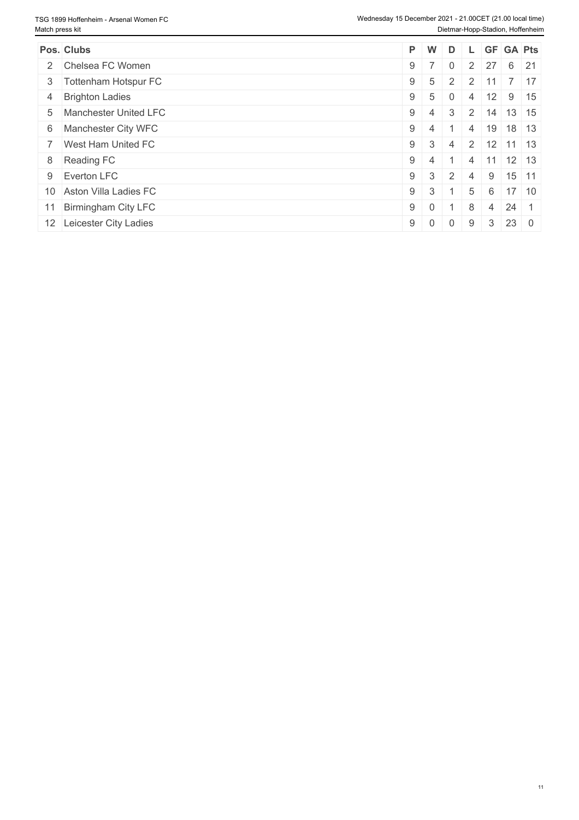| Pos. Clubs               |            | PW | D              |                |   | L GF GA Pts                 |  |
|--------------------------|------------|----|----------------|----------------|---|-----------------------------|--|
| 2 Chelsea FC Women       | $9 \mid 7$ |    |                |                |   | $2 \mid 27 \mid 6 \mid 21$  |  |
| 3 Tottenham Hotspur FC   | $9 \mid 5$ |    | 2              |                |   | $2 \mid 11 \mid 7 \mid 17$  |  |
| 4 Brighton Ladies        | $9 \mid 5$ |    | $\Omega$       |                |   | 4 12 9 15                   |  |
| 5 Manchester United LFC  | $9 \mid 4$ |    | 3              |                |   | 2 14 13 15                  |  |
| 6 Manchester City WFC    | $9 \mid 4$ |    |                | $\overline{4}$ |   | $19$ 18 13                  |  |
| 7 West Ham United FC     | $9 \mid 3$ |    | $\overline{4}$ |                |   | $2 \mid 12 \mid 11 \mid 13$ |  |
| 8 Reading FC             | $9 \mid 4$ |    |                |                |   | 4 11 12 13                  |  |
| 9 Everton LFC            | $9 \mid 3$ |    | $\overline{2}$ | $\overline{4}$ |   | $9 \mid 15 \mid 11$         |  |
| 10 Aston Villa Ladies FC | $9 \mid 3$ |    |                | 5              |   | $6 \mid 17 \mid 10$         |  |
| 11 Birmingham City LFC   | $9 \mid 0$ |    |                | 8              | 4 | $24 \mid 1$                 |  |
| 12 Leicester City Ladies | $9 \mid 0$ |    | $\Omega$       | 9              | 3 | 230                         |  |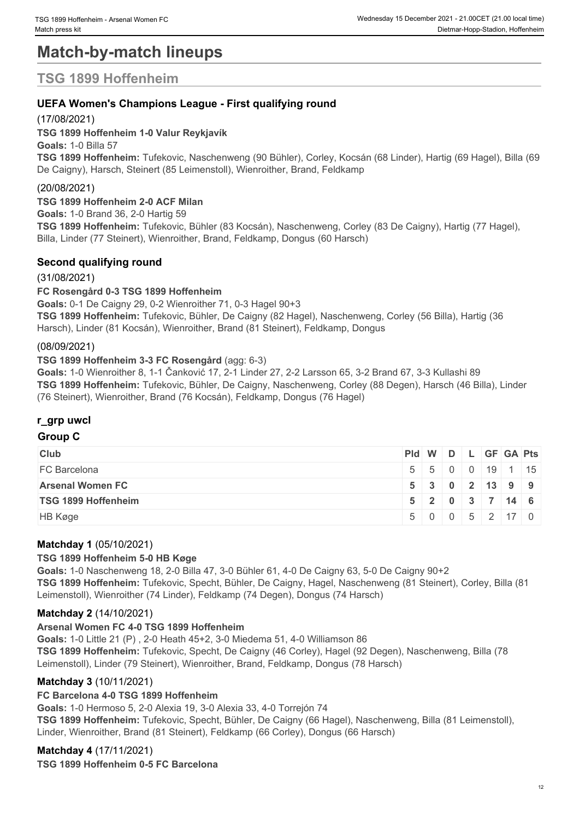# **Match-by-match lineups**

## **TSG 1899 Hoffenheim**

#### **UEFA Women's Champions League - First qualifying round**

#### (17/08/2021)

**TSG 1899 Hoffenheim 1-0 Valur Reykjavík Goals:** 1-0 Billa 57 **TSG 1899 Hoffenheim:** Tufekovic, Naschenweng (90 Bühler), Corley, Kocsán (68 Linder), Hartig (69 Hagel), Billa (69 De Caigny), Harsch, Steinert (85 Leimenstoll), Wienroither, Brand, Feldkamp

#### (20/08/2021)

**TSG 1899 Hoffenheim 2-0 ACF Milan Goals:** 1-0 Brand 36, 2-0 Hartig 59 **TSG 1899 Hoffenheim:** Tufekovic, Bühler (83 Kocsán), Naschenweng, Corley (83 De Caigny), Hartig (77 Hagel), Billa, Linder (77 Steinert), Wienroither, Brand, Feldkamp, Dongus (60 Harsch)

#### **Second qualifying round**

#### (31/08/2021)

#### **FC Rosengård 0-3 TSG 1899 Hoffenheim**

**Goals:** 0-1 De Caigny 29, 0-2 Wienroither 71, 0-3 Hagel 90+3

**TSG 1899 Hoffenheim:** Tufekovic, Bühler, De Caigny (82 Hagel), Naschenweng, Corley (56 Billa), Hartig (36 Harsch), Linder (81 Kocsán), Wienroither, Brand (81 Steinert), Feldkamp, Dongus

#### (08/09/2021)

#### **TSG 1899 Hoffenheim 3-3 FC Rosengård** (agg: 6-3)

**Goals:** 1-0 Wienroither 8, 1-1 Čanković 17, 2-1 Linder 27, 2-2 Larsson 65, 3-2 Brand 67, 3-3 Kullashi 89 **TSG 1899 Hoffenheim:** Tufekovic, Bühler, De Caigny, Naschenweng, Corley (88 Degen), Harsch (46 Billa), Linder (76 Steinert), Wienroither, Brand (76 Kocsán), Feldkamp, Dongus (76 Hagel)

#### **r\_grp uwcl**

#### **Group C**

| <b>Club</b>                |  |  |  | $PId \mid W \mid D \mid L \mid GF \mid GA \mid Pts \mid$ |
|----------------------------|--|--|--|----------------------------------------------------------|
| FC Barcelona               |  |  |  | 5 5 0 0 19 1 15                                          |
| <b>Arsenal Women FC</b>    |  |  |  | 5 3 0 2 13 9 9                                           |
| <b>TSG 1899 Hoffenheim</b> |  |  |  | $5$   2   0   3   7   14   6                             |
| HB Køge                    |  |  |  | $5 \ 0 \ 0 \ 5 \ 2 \ 17 \ 0$                             |

#### **Matchday 1** (05/10/2021)

#### **TSG 1899 Hoffenheim 5-0 HB Køge**

**Goals:** 1-0 Naschenweng 18, 2-0 Billa 47, 3-0 Bühler 61, 4-0 De Caigny 63, 5-0 De Caigny 90+2 **TSG 1899 Hoffenheim:** Tufekovic, Specht, Bühler, De Caigny, Hagel, Naschenweng (81 Steinert), Corley, Billa (81 Leimenstoll), Wienroither (74 Linder), Feldkamp (74 Degen), Dongus (74 Harsch)

#### **Matchday 2** (14/10/2021)

#### **Arsenal Women FC 4-0 TSG 1899 Hoffenheim**

**Goals:** 1-0 Little 21 (P) , 2-0 Heath 45+2, 3-0 Miedema 51, 4-0 Williamson 86 **TSG 1899 Hoffenheim:** Tufekovic, Specht, De Caigny (46 Corley), Hagel (92 Degen), Naschenweng, Billa (78 Leimenstoll), Linder (79 Steinert), Wienroither, Brand, Feldkamp, Dongus (78 Harsch)

#### **Matchday 3** (10/11/2021)

#### **FC Barcelona 4-0 TSG 1899 Hoffenheim**

**Goals:** 1-0 Hermoso 5, 2-0 Alexia 19, 3-0 Alexia 33, 4-0 Torrejón 74

**TSG 1899 Hoffenheim:** Tufekovic, Specht, Bühler, De Caigny (66 Hagel), Naschenweng, Billa (81 Leimenstoll), Linder, Wienroither, Brand (81 Steinert), Feldkamp (66 Corley), Dongus (66 Harsch)

#### **Matchday 4** (17/11/2021)

**TSG 1899 Hoffenheim 0-5 FC Barcelona**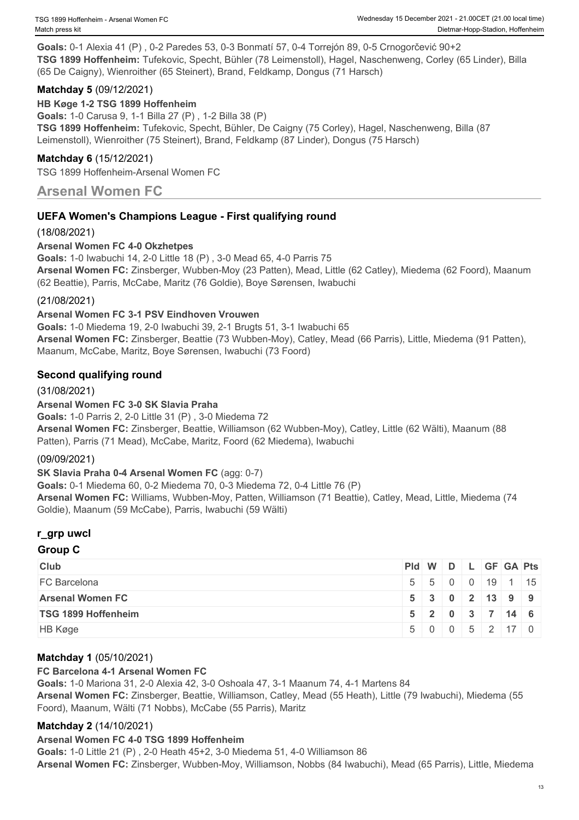**Goals:** 0-1 Alexia 41 (P) , 0-2 Paredes 53, 0-3 Bonmatí 57, 0-4 Torrejón 89, 0-5 Crnogorčević 90+2 **TSG 1899 Hoffenheim:** Tufekovic, Specht, Bühler (78 Leimenstoll), Hagel, Naschenweng, Corley (65 Linder), Billa (65 De Caigny), Wienroither (65 Steinert), Brand, Feldkamp, Dongus (71 Harsch)

#### **Matchday 5** (09/12/2021)

**HB Køge 1-2 TSG 1899 Hoffenheim**

**Goals:** 1-0 Carusa 9, 1-1 Billa 27 (P) , 1-2 Billa 38 (P) **TSG 1899 Hoffenheim:** Tufekovic, Specht, Bühler, De Caigny (75 Corley), Hagel, Naschenweng, Billa (87 Leimenstoll), Wienroither (75 Steinert), Brand, Feldkamp (87 Linder), Dongus (75 Harsch)

#### **Matchday 6** (15/12/2021)

TSG 1899 Hoffenheim-Arsenal Women FC

### **Arsenal Women FC**

#### **UEFA Women's Champions League - First qualifying round**

#### (18/08/2021)

#### **Arsenal Women FC 4-0 Okzhetpes**

**Goals:** 1-0 Iwabuchi 14, 2-0 Little 18 (P) , 3-0 Mead 65, 4-0 Parris 75 **Arsenal Women FC:** Zinsberger, Wubben-Moy (23 Patten), Mead, Little (62 Catley), Miedema (62 Foord), Maanum (62 Beattie), Parris, McCabe, Maritz (76 Goldie), Boye Sørensen, Iwabuchi

#### (21/08/2021)

#### **Arsenal Women FC 3-1 PSV Eindhoven Vrouwen**

**Goals:** 1-0 Miedema 19, 2-0 Iwabuchi 39, 2-1 Brugts 51, 3-1 Iwabuchi 65 **Arsenal Women FC:** Zinsberger, Beattie (73 Wubben-Moy), Catley, Mead (66 Parris), Little, Miedema (91 Patten), Maanum, McCabe, Maritz, Boye Sørensen, Iwabuchi (73 Foord)

#### **Second qualifying round**

#### (31/08/2021)

#### **Arsenal Women FC 3-0 SK Slavia Praha**

**Goals:** 1-0 Parris 2, 2-0 Little 31 (P) , 3-0 Miedema 72

**Arsenal Women FC:** Zinsberger, Beattie, Williamson (62 Wubben-Moy), Catley, Little (62 Wälti), Maanum (88 Patten), Parris (71 Mead), McCabe, Maritz, Foord (62 Miedema), Iwabuchi

#### (09/09/2021)

**SK Slavia Praha 0-4 Arsenal Women FC** (agg: 0-7) **Goals:** 0-1 Miedema 60, 0-2 Miedema 70, 0-3 Miedema 72, 0-4 Little 76 (P) **Arsenal Women FC:** Williams, Wubben-Moy, Patten, Williamson (71 Beattie), Catley, Mead, Little, Miedema (74 Goldie), Maanum (59 McCabe), Parris, Iwabuchi (59 Wälti)

#### **r\_grp uwcl**

#### **Group C**

| <b>Club</b>             |  | $PId \mid W \mid D \mid L \mid GF \mid GA \mid Pts \mid$ |  |                                                |
|-------------------------|--|----------------------------------------------------------|--|------------------------------------------------|
| FC Barcelona            |  |                                                          |  | 5 5 0 0 19 1 15                                |
| <b>Arsenal Women FC</b> |  |                                                          |  | 5 3 0 2 13 9 9                                 |
| TSG 1899 Hoffenheim     |  |                                                          |  | $5 \mid 2 \mid 0 \mid 3 \mid 7 \mid 14 \mid 6$ |
| HB Køge                 |  |                                                          |  | $5 \ 0 \ 0 \ 5 \ 2 \ 17 \ 0$                   |

#### **Matchday 1** (05/10/2021)

#### **FC Barcelona 4-1 Arsenal Women FC**

**Goals:** 1-0 Mariona 31, 2-0 Alexia 42, 3-0 Oshoala 47, 3-1 Maanum 74, 4-1 Martens 84 **Arsenal Women FC:** Zinsberger, Beattie, Williamson, Catley, Mead (55 Heath), Little (79 Iwabuchi), Miedema (55 Foord), Maanum, Wälti (71 Nobbs), McCabe (55 Parris), Maritz

#### **Matchday 2** (14/10/2021)

#### **Arsenal Women FC 4-0 TSG 1899 Hoffenheim**

**Goals:** 1-0 Little 21 (P) , 2-0 Heath 45+2, 3-0 Miedema 51, 4-0 Williamson 86 **Arsenal Women FC:** Zinsberger, Wubben-Moy, Williamson, Nobbs (84 Iwabuchi), Mead (65 Parris), Little, Miedema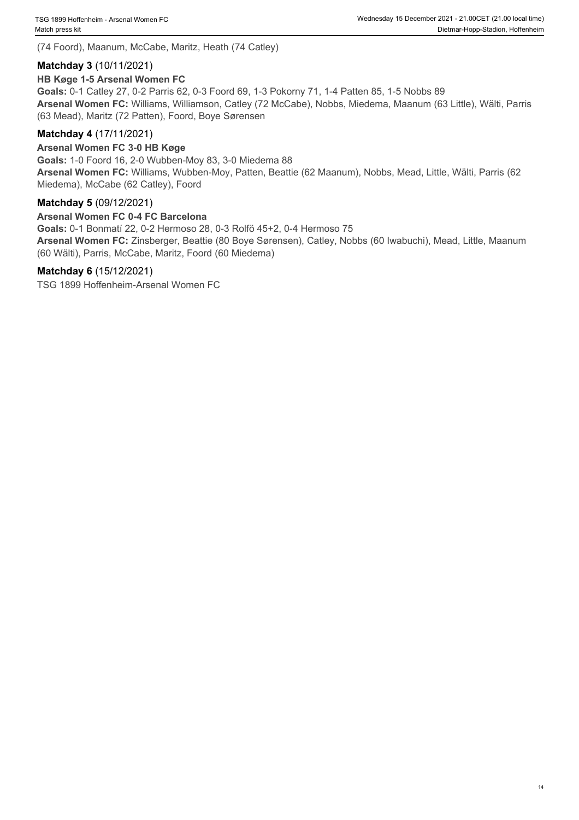(74 Foord), Maanum, McCabe, Maritz, Heath (74 Catley)

#### **Matchday 3** (10/11/2021)

#### **HB Køge 1-5 Arsenal Women FC**

**Goals:** 0-1 Catley 27, 0-2 Parris 62, 0-3 Foord 69, 1-3 Pokorny 71, 1-4 Patten 85, 1-5 Nobbs 89 **Arsenal Women FC:** Williams, Williamson, Catley (72 McCabe), Nobbs, Miedema, Maanum (63 Little), Wälti, Parris (63 Mead), Maritz (72 Patten), Foord, Boye Sørensen

#### **Matchday 4** (17/11/2021)

#### **Arsenal Women FC 3-0 HB Køge**

**Goals:** 1-0 Foord 16, 2-0 Wubben-Moy 83, 3-0 Miedema 88 **Arsenal Women FC:** Williams, Wubben-Moy, Patten, Beattie (62 Maanum), Nobbs, Mead, Little, Wälti, Parris (62 Miedema), McCabe (62 Catley), Foord

#### **Matchday 5** (09/12/2021)

#### **Arsenal Women FC 0-4 FC Barcelona**

**Goals:** 0-1 Bonmatí 22, 0-2 Hermoso 28, 0-3 Rolfö 45+2, 0-4 Hermoso 75

**Arsenal Women FC:** Zinsberger, Beattie (80 Boye Sørensen), Catley, Nobbs (60 Iwabuchi), Mead, Little, Maanum (60 Wälti), Parris, McCabe, Maritz, Foord (60 Miedema)

#### **Matchday 6** (15/12/2021)

TSG 1899 Hoffenheim-Arsenal Women FC